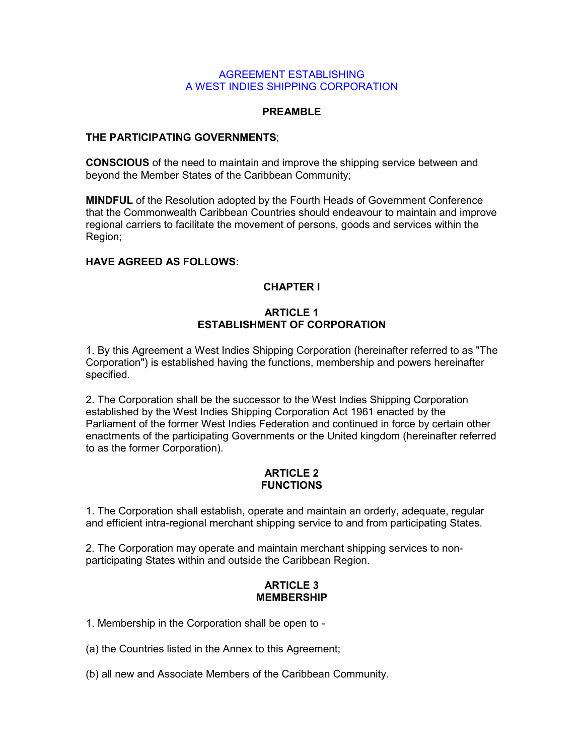#### AGREEMENT ESTABLISHING A WEST INDIES SHIPPING CORPORATION

### PREAMBLE

### THE PARTICIPATING GOVERNMENTS;

CONSCIOUS of the need to maintain and improve the shipping service between and beyond the Member States of the Caribbean Community;

MINDFUL of the Resolution adopted by the Fourth Heads of Government Conference that the Commonwealth Caribbean Countries should endeavour to maintain and improve regional carriers to facilitate the movement of persons, goods and services within the Region;

## HAVE AGREED AS FOLLOWS:

## CHAPTER I

#### ARTICLE 1 ESTABLISHMENT OF CORPORATION

1. By this Agreement a West Indies Shipping Corporation (hereinafter referred to as "The Corporation") is established having the functions, membership and powers hereinafter specified.

2. The Corporation shall be the successor to the West Indies Shipping Corporation established by the West Indies Shipping Corporation Act 1961 enacted by the Parliament of the former West Indies Federation and continued in force by certain other enactments of the participating Governments or the United kingdom (hereinafter referred to as the former Corporation).

## ARTICLE 2 **FUNCTIONS**

1. The Corporation shall establish, operate and maintain an orderly, adequate, regular and efficient intra-regional merchant shipping service to and from participating States.

2. The Corporation may operate and maintain merchant shipping services to nonparticipating States within and outside the Caribbean Region.

## ARTICLE 3 MEMBERSHIP

1. Membership in the Corporation shall be open to -

(a) the Countries listed in the Annex to this Agreement;

(b) all new and Associate Members of the Caribbean Community.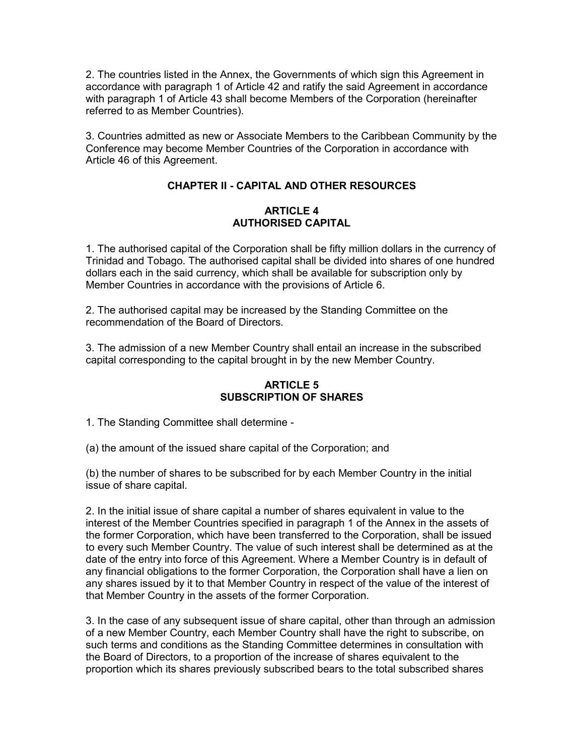2. The countries listed in the Annex, the Governments of which sign this Agreement in accordance with paragraph 1 of Article 42 and ratify the said Agreement in accordance with paragraph 1 of Article 43 shall become Members of the Corporation (hereinafter referred to as Member Countries).

3. Countries admitted as new or Associate Members to the Caribbean Community by the Conference may become Member Countries of the Corporation in accordance with Article 46 of this Agreement.

## CHAPTER II - CAPITAL AND OTHER RESOURCES

## ARTICLE 4 AUTHORISED CAPITAL

1. The authorised capital of the Corporation shall be fifty million dollars in the currency of Trinidad and Tobago. The authorised capital shall be divided into shares of one hundred dollars each in the said currency, which shall be available for subscription only by Member Countries in accordance with the provisions of Article 6.

2. The authorised capital may be increased by the Standing Committee on the recommendation of the Board of Directors.

3. The admission of a new Member Country shall entail an increase in the subscribed capital corresponding to the capital brought in by the new Member Country.

## ARTICLE 5 SUBSCRIPTION OF SHARES

1. The Standing Committee shall determine -

(a) the amount of the issued share capital of the Corporation; and

(b) the number of shares to be subscribed for by each Member Country in the initial issue of share capital.

2. In the initial issue of share capital a number of shares equivalent in value to the interest of the Member Countries specified in paragraph 1 of the Annex in the assets of the former Corporation, which have been transferred to the Corporation, shall be issued to every such Member Country. The value of such interest shall be determined as at the date of the entry into force of this Agreement. Where a Member Country is in default of any financial obligations to the former Corporation, the Corporation shall have a lien on any shares issued by it to that Member Country in respect of the value of the interest of that Member Country in the assets of the former Corporation.

3. In the case of any subsequent issue of share capital, other than through an admission of a new Member Country, each Member Country shall have the right to subscribe, on such terms and conditions as the Standing Committee determines in consultation with the Board of Directors, to a proportion of the increase of shares equivalent to the proportion which its shares previously subscribed bears to the total subscribed shares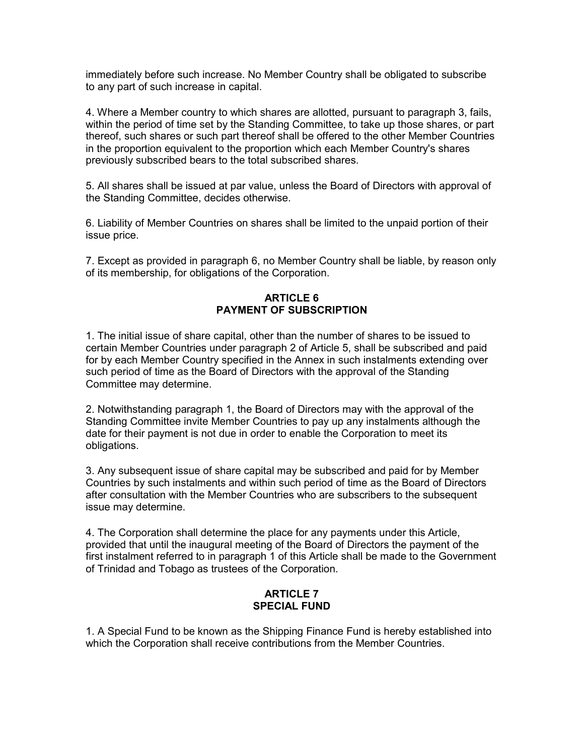immediately before such increase. No Member Country shall be obligated to subscribe to any part of such increase in capital.

4. Where a Member country to which shares are allotted, pursuant to paragraph 3, fails, within the period of time set by the Standing Committee, to take up those shares, or part thereof, such shares or such part thereof shall be offered to the other Member Countries in the proportion equivalent to the proportion which each Member Country's shares previously subscribed bears to the total subscribed shares.

5. All shares shall be issued at par value, unless the Board of Directors with approval of the Standing Committee, decides otherwise.

6. Liability of Member Countries on shares shall be limited to the unpaid portion of their issue price.

7. Except as provided in paragraph 6, no Member Country shall be liable, by reason only of its membership, for obligations of the Corporation.

## ARTICLE 6 PAYMENT OF SUBSCRIPTION

1. The initial issue of share capital, other than the number of shares to be issued to certain Member Countries under paragraph 2 of Article 5, shall be subscribed and paid for by each Member Country specified in the Annex in such instalments extending over such period of time as the Board of Directors with the approval of the Standing Committee may determine.

2. Notwithstanding paragraph 1, the Board of Directors may with the approval of the Standing Committee invite Member Countries to pay up any instalments although the date for their payment is not due in order to enable the Corporation to meet its obligations.

3. Any subsequent issue of share capital may be subscribed and paid for by Member Countries by such instalments and within such period of time as the Board of Directors after consultation with the Member Countries who are subscribers to the subsequent issue may determine.

4. The Corporation shall determine the place for any payments under this Article, provided that until the inaugural meeting of the Board of Directors the payment of the first instalment referred to in paragraph 1 of this Article shall be made to the Government of Trinidad and Tobago as trustees of the Corporation.

## ARTICLE 7 SPECIAL FUND

1. A Special Fund to be known as the Shipping Finance Fund is hereby established into which the Corporation shall receive contributions from the Member Countries.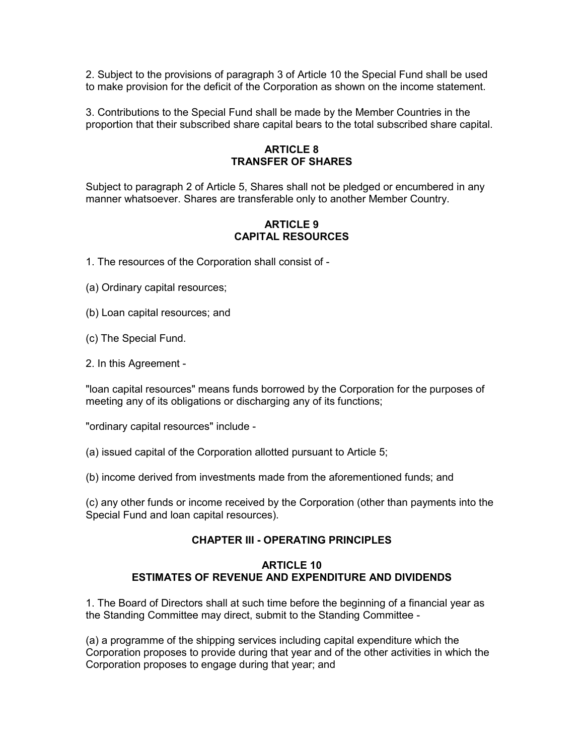2. Subject to the provisions of paragraph 3 of Article 10 the Special Fund shall be used to make provision for the deficit of the Corporation as shown on the income statement.

3. Contributions to the Special Fund shall be made by the Member Countries in the proportion that their subscribed share capital bears to the total subscribed share capital.

## ARTICLE 8 TRANSFER OF SHARES

Subject to paragraph 2 of Article 5, Shares shall not be pledged or encumbered in any manner whatsoever. Shares are transferable only to another Member Country.

## ARTICLE 9 CAPITAL RESOURCES

1. The resources of the Corporation shall consist of -

(a) Ordinary capital resources;

(b) Loan capital resources; and

(c) The Special Fund.

2. In this Agreement -

"loan capital resources" means funds borrowed by the Corporation for the purposes of meeting any of its obligations or discharging any of its functions;

"ordinary capital resources" include -

(a) issued capital of the Corporation allotted pursuant to Article 5;

(b) income derived from investments made from the aforementioned funds; and

(c) any other funds or income received by the Corporation (other than payments into the Special Fund and loan capital resources).

## CHAPTER III - OPERATING PRINCIPLES

## ARTICLE 10 ESTIMATES OF REVENUE AND EXPENDITURE AND DIVIDENDS

1. The Board of Directors shall at such time before the beginning of a financial year as the Standing Committee may direct, submit to the Standing Committee -

(a) a programme of the shipping services including capital expenditure which the Corporation proposes to provide during that year and of the other activities in which the Corporation proposes to engage during that year; and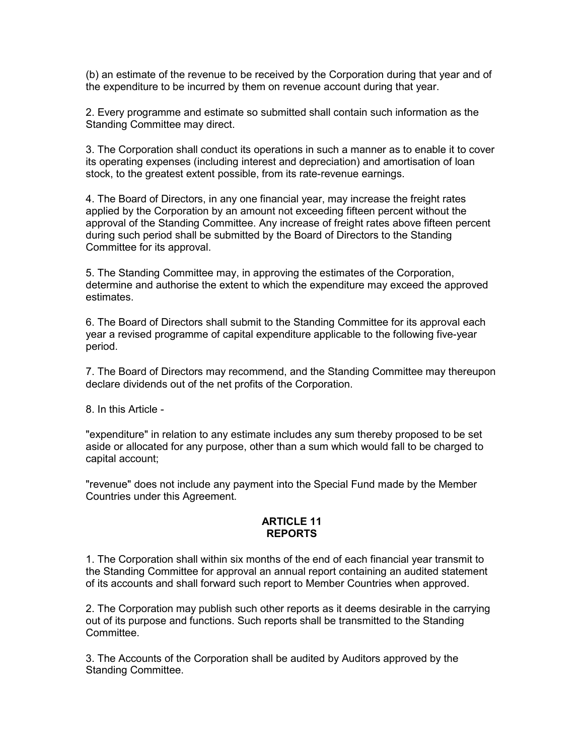(b) an estimate of the revenue to be received by the Corporation during that year and of the expenditure to be incurred by them on revenue account during that year.

2. Every programme and estimate so submitted shall contain such information as the Standing Committee may direct.

3. The Corporation shall conduct its operations in such a manner as to enable it to cover its operating expenses (including interest and depreciation) and amortisation of loan stock, to the greatest extent possible, from its rate-revenue earnings.

4. The Board of Directors, in any one financial year, may increase the freight rates applied by the Corporation by an amount not exceeding fifteen percent without the approval of the Standing Committee. Any increase of freight rates above fifteen percent during such period shall be submitted by the Board of Directors to the Standing Committee for its approval.

5. The Standing Committee may, in approving the estimates of the Corporation, determine and authorise the extent to which the expenditure may exceed the approved estimates.

6. The Board of Directors shall submit to the Standing Committee for its approval each year a revised programme of capital expenditure applicable to the following five-year period.

7. The Board of Directors may recommend, and the Standing Committee may thereupon declare dividends out of the net profits of the Corporation.

8. In this Article -

"expenditure" in relation to any estimate includes any sum thereby proposed to be set aside or allocated for any purpose, other than a sum which would fall to be charged to capital account;

"revenue" does not include any payment into the Special Fund made by the Member Countries under this Agreement.

## ARTICLE 11 REPORTS

1. The Corporation shall within six months of the end of each financial year transmit to the Standing Committee for approval an annual report containing an audited statement of its accounts and shall forward such report to Member Countries when approved.

2. The Corporation may publish such other reports as it deems desirable in the carrying out of its purpose and functions. Such reports shall be transmitted to the Standing Committee.

3. The Accounts of the Corporation shall be audited by Auditors approved by the Standing Committee.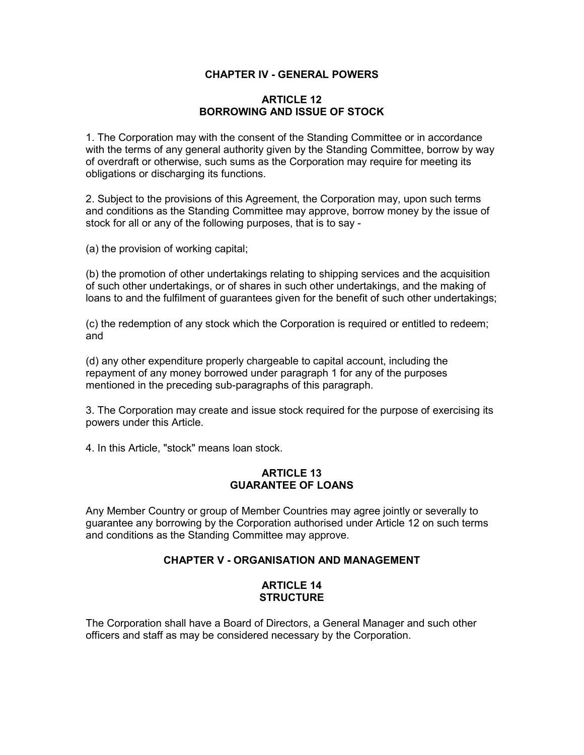## CHAPTER IV - GENERAL POWERS

## ARTICLE 12 BORROWING AND ISSUE OF STOCK

1. The Corporation may with the consent of the Standing Committee or in accordance with the terms of any general authority given by the Standing Committee, borrow by way of overdraft or otherwise, such sums as the Corporation may require for meeting its obligations or discharging its functions.

2. Subject to the provisions of this Agreement, the Corporation may, upon such terms and conditions as the Standing Committee may approve, borrow money by the issue of stock for all or any of the following purposes, that is to say -

(a) the provision of working capital;

(b) the promotion of other undertakings relating to shipping services and the acquisition of such other undertakings, or of shares in such other undertakings, and the making of loans to and the fulfilment of guarantees given for the benefit of such other undertakings;

(c) the redemption of any stock which the Corporation is required or entitled to redeem; and

(d) any other expenditure properly chargeable to capital account, including the repayment of any money borrowed under paragraph 1 for any of the purposes mentioned in the preceding sub-paragraphs of this paragraph.

3. The Corporation may create and issue stock required for the purpose of exercising its powers under this Article.

4. In this Article, "stock" means loan stock.

## ARTICLE 13 GUARANTEE OF LOANS

Any Member Country or group of Member Countries may agree jointly or severally to guarantee any borrowing by the Corporation authorised under Article 12 on such terms and conditions as the Standing Committee may approve.

#### CHAPTER V - ORGANISATION AND MANAGEMENT

#### ARTICLE 14 **STRUCTURE**

The Corporation shall have a Board of Directors, a General Manager and such other officers and staff as may be considered necessary by the Corporation.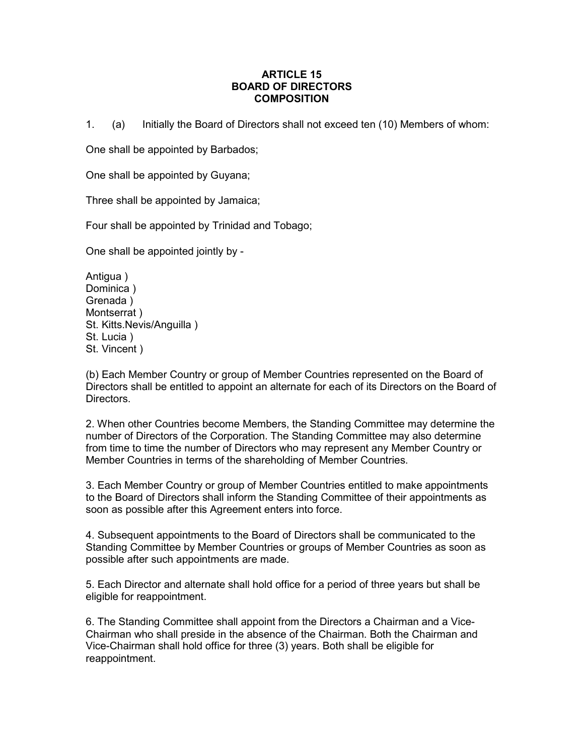## ARTICLE 15 BOARD OF DIRECTORS **COMPOSITION**

1. (a) Initially the Board of Directors shall not exceed ten (10) Members of whom:

One shall be appointed by Barbados;

One shall be appointed by Guyana;

Three shall be appointed by Jamaica;

Four shall be appointed by Trinidad and Tobago;

One shall be appointed jointly by -

Antigua ) Dominica ) Grenada ) Montserrat ) St. Kitts.Nevis/Anguilla ) St. Lucia ) St. Vincent )

(b) Each Member Country or group of Member Countries represented on the Board of Directors shall be entitled to appoint an alternate for each of its Directors on the Board of Directors.

2. When other Countries become Members, the Standing Committee may determine the number of Directors of the Corporation. The Standing Committee may also determine from time to time the number of Directors who may represent any Member Country or Member Countries in terms of the shareholding of Member Countries.

3. Each Member Country or group of Member Countries entitled to make appointments to the Board of Directors shall inform the Standing Committee of their appointments as soon as possible after this Agreement enters into force.

4. Subsequent appointments to the Board of Directors shall be communicated to the Standing Committee by Member Countries or groups of Member Countries as soon as possible after such appointments are made.

5. Each Director and alternate shall hold office for a period of three years but shall be eligible for reappointment.

6. The Standing Committee shall appoint from the Directors a Chairman and a Vice-Chairman who shall preside in the absence of the Chairman. Both the Chairman and Vice-Chairman shall hold office for three (3) years. Both shall be eligible for reappointment.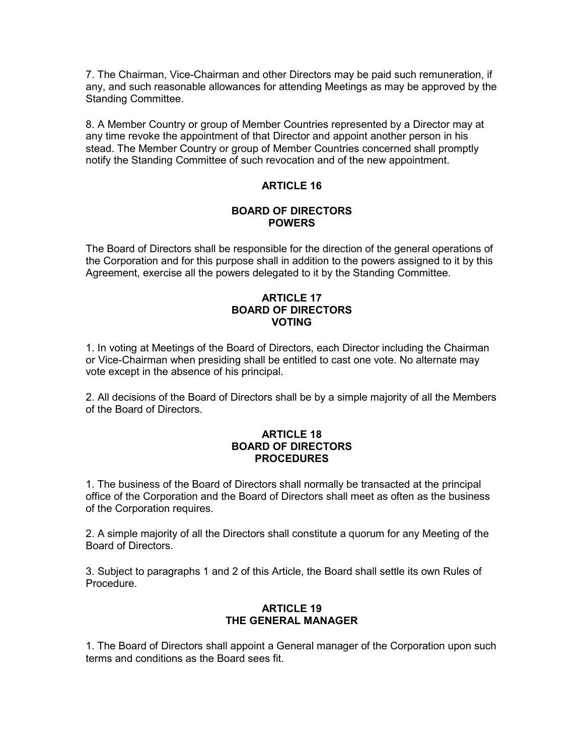7. The Chairman, Vice-Chairman and other Directors may be paid such remuneration, if any, and such reasonable allowances for attending Meetings as may be approved by the Standing Committee.

8. A Member Country or group of Member Countries represented by a Director may at any time revoke the appointment of that Director and appoint another person in his stead. The Member Country or group of Member Countries concerned shall promptly notify the Standing Committee of such revocation and of the new appointment.

## ARTICLE 16

### BOARD OF DIRECTORS POWERS

The Board of Directors shall be responsible for the direction of the general operations of the Corporation and for this purpose shall in addition to the powers assigned to it by this Agreement, exercise all the powers delegated to it by the Standing Committee.

## ARTICLE 17 BOARD OF DIRECTORS VOTING

1. In voting at Meetings of the Board of Directors, each Director including the Chairman or Vice-Chairman when presiding shall be entitled to cast one vote. No alternate may vote except in the absence of his principal.

2. All decisions of the Board of Directors shall be by a simple majority of all the Members of the Board of Directors.

#### ARTICLE 18 BOARD OF DIRECTORS PROCEDURES

1. The business of the Board of Directors shall normally be transacted at the principal office of the Corporation and the Board of Directors shall meet as often as the business of the Corporation requires.

2. A simple majority of all the Directors shall constitute a quorum for any Meeting of the Board of Directors.

3. Subject to paragraphs 1 and 2 of this Article, the Board shall settle its own Rules of Procedure.

## ARTICLE 19 THE GENERAL MANAGER

1. The Board of Directors shall appoint a General manager of the Corporation upon such terms and conditions as the Board sees fit.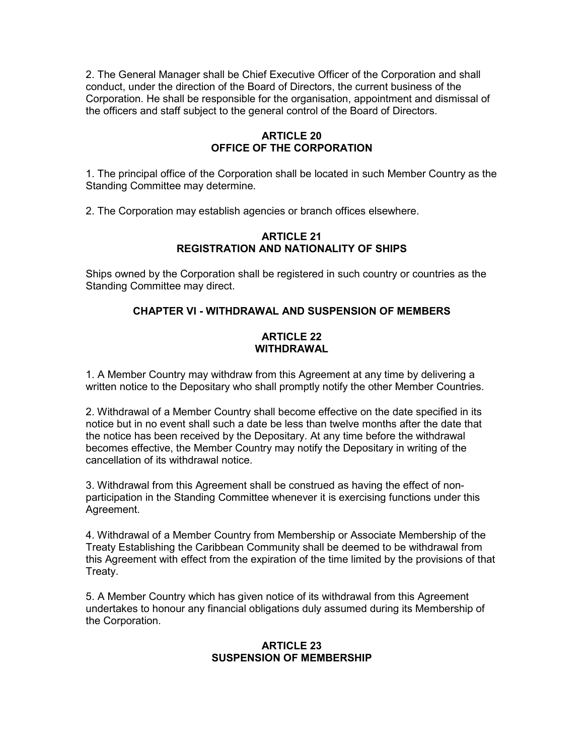2. The General Manager shall be Chief Executive Officer of the Corporation and shall conduct, under the direction of the Board of Directors, the current business of the Corporation. He shall be responsible for the organisation, appointment and dismissal of the officers and staff subject to the general control of the Board of Directors.

## ARTICLE 20 OFFICE OF THE CORPORATION

1. The principal office of the Corporation shall be located in such Member Country as the Standing Committee may determine.

2. The Corporation may establish agencies or branch offices elsewhere.

## ARTICLE 21 REGISTRATION AND NATIONALITY OF SHIPS

Ships owned by the Corporation shall be registered in such country or countries as the Standing Committee may direct.

# CHAPTER VI - WITHDRAWAL AND SUSPENSION OF MEMBERS

### ARTICLE 22 WITHDRAWAL

1. A Member Country may withdraw from this Agreement at any time by delivering a written notice to the Depositary who shall promptly notify the other Member Countries.

2. Withdrawal of a Member Country shall become effective on the date specified in its notice but in no event shall such a date be less than twelve months after the date that the notice has been received by the Depositary. At any time before the withdrawal becomes effective, the Member Country may notify the Depositary in writing of the cancellation of its withdrawal notice.

3. Withdrawal from this Agreement shall be construed as having the effect of nonparticipation in the Standing Committee whenever it is exercising functions under this Agreement.

4. Withdrawal of a Member Country from Membership or Associate Membership of the Treaty Establishing the Caribbean Community shall be deemed to be withdrawal from this Agreement with effect from the expiration of the time limited by the provisions of that Treaty.

5. A Member Country which has given notice of its withdrawal from this Agreement undertakes to honour any financial obligations duly assumed during its Membership of the Corporation.

## ARTICLE 23 SUSPENSION OF MEMBERSHIP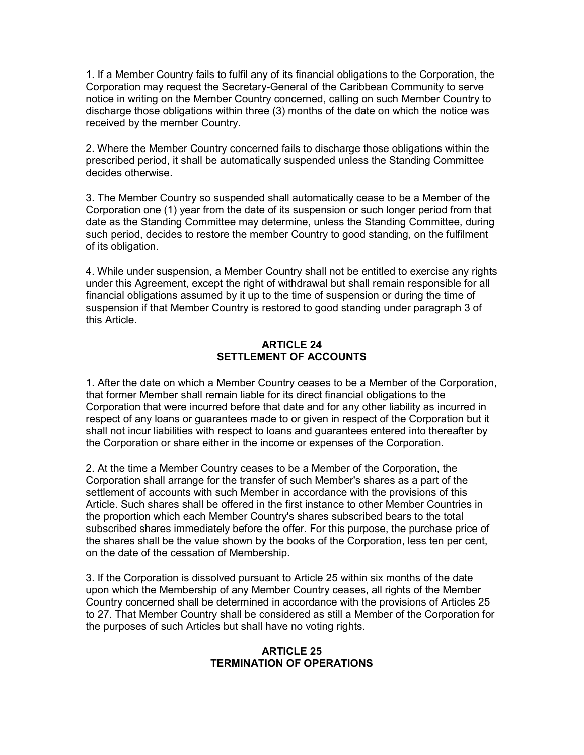1. If a Member Country fails to fulfil any of its financial obligations to the Corporation, the Corporation may request the Secretary-General of the Caribbean Community to serve notice in writing on the Member Country concerned, calling on such Member Country to discharge those obligations within three (3) months of the date on which the notice was received by the member Country.

2. Where the Member Country concerned fails to discharge those obligations within the prescribed period, it shall be automatically suspended unless the Standing Committee decides otherwise.

3. The Member Country so suspended shall automatically cease to be a Member of the Corporation one (1) year from the date of its suspension or such longer period from that date as the Standing Committee may determine, unless the Standing Committee, during such period, decides to restore the member Country to good standing, on the fulfilment of its obligation.

4. While under suspension, a Member Country shall not be entitled to exercise any rights under this Agreement, except the right of withdrawal but shall remain responsible for all financial obligations assumed by it up to the time of suspension or during the time of suspension if that Member Country is restored to good standing under paragraph 3 of this Article.

### ARTICLE 24 SETTLEMENT OF ACCOUNTS

1. After the date on which a Member Country ceases to be a Member of the Corporation, that former Member shall remain liable for its direct financial obligations to the Corporation that were incurred before that date and for any other liability as incurred in respect of any loans or guarantees made to or given in respect of the Corporation but it shall not incur liabilities with respect to loans and guarantees entered into thereafter by the Corporation or share either in the income or expenses of the Corporation.

2. At the time a Member Country ceases to be a Member of the Corporation, the Corporation shall arrange for the transfer of such Member's shares as a part of the settlement of accounts with such Member in accordance with the provisions of this Article. Such shares shall be offered in the first instance to other Member Countries in the proportion which each Member Country's shares subscribed bears to the total subscribed shares immediately before the offer. For this purpose, the purchase price of the shares shall be the value shown by the books of the Corporation, less ten per cent, on the date of the cessation of Membership.

3. If the Corporation is dissolved pursuant to Article 25 within six months of the date upon which the Membership of any Member Country ceases, all rights of the Member Country concerned shall be determined in accordance with the provisions of Articles 25 to 27. That Member Country shall be considered as still a Member of the Corporation for the purposes of such Articles but shall have no voting rights.

## ARTICLE 25 TERMINATION OF OPERATIONS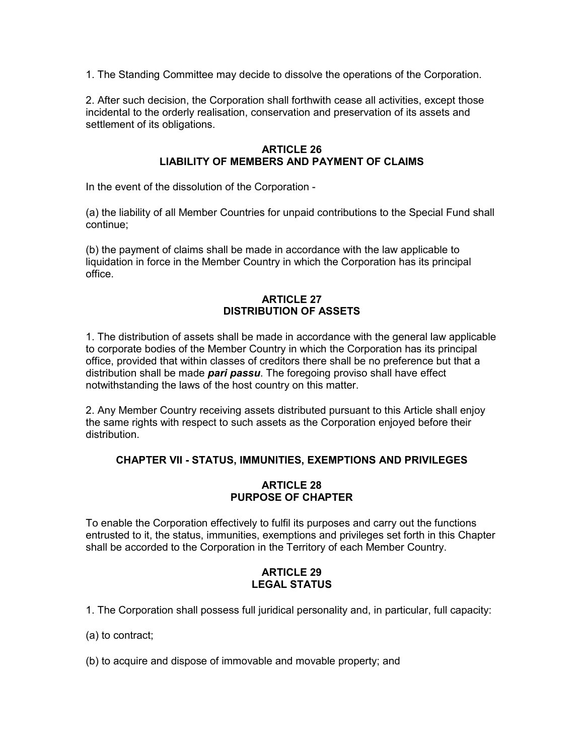1. The Standing Committee may decide to dissolve the operations of the Corporation.

2. After such decision, the Corporation shall forthwith cease all activities, except those incidental to the orderly realisation, conservation and preservation of its assets and settlement of its obligations.

### ARTICLE 26 LIABILITY OF MEMBERS AND PAYMENT OF CLAIMS

In the event of the dissolution of the Corporation -

(a) the liability of all Member Countries for unpaid contributions to the Special Fund shall continue;

(b) the payment of claims shall be made in accordance with the law applicable to liquidation in force in the Member Country in which the Corporation has its principal office.

# ARTICLE 27 DISTRIBUTION OF ASSETS

1. The distribution of assets shall be made in accordance with the general law applicable to corporate bodies of the Member Country in which the Corporation has its principal office, provided that within classes of creditors there shall be no preference but that a distribution shall be made *pari passu*. The foregoing proviso shall have effect notwithstanding the laws of the host country on this matter.

2. Any Member Country receiving assets distributed pursuant to this Article shall enjoy the same rights with respect to such assets as the Corporation enjoyed before their distribution.

# CHAPTER VII - STATUS, IMMUNITIES, EXEMPTIONS AND PRIVILEGES

## ARTICLE 28 PURPOSE OF CHAPTER

To enable the Corporation effectively to fulfil its purposes and carry out the functions entrusted to it, the status, immunities, exemptions and privileges set forth in this Chapter shall be accorded to the Corporation in the Territory of each Member Country.

## ARTICLE 29 LEGAL STATUS

1. The Corporation shall possess full juridical personality and, in particular, full capacity:

(a) to contract;

(b) to acquire and dispose of immovable and movable property; and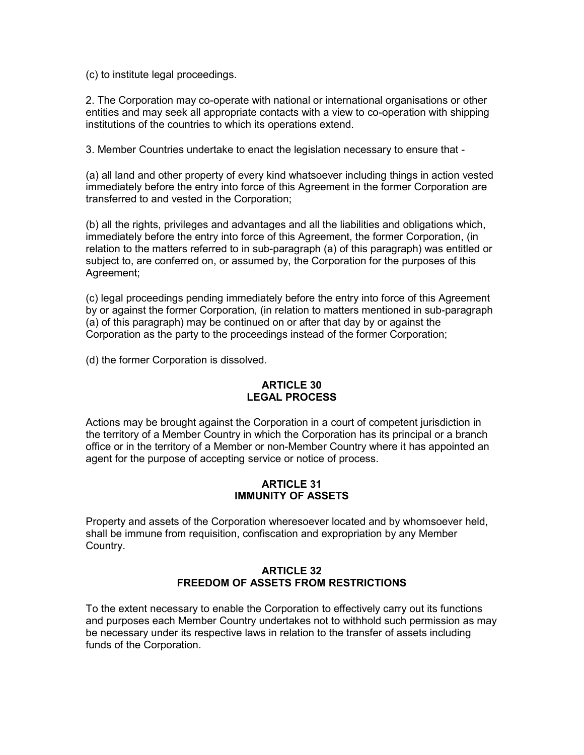(c) to institute legal proceedings.

2. The Corporation may co-operate with national or international organisations or other entities and may seek all appropriate contacts with a view to co-operation with shipping institutions of the countries to which its operations extend.

3. Member Countries undertake to enact the legislation necessary to ensure that -

(a) all land and other property of every kind whatsoever including things in action vested immediately before the entry into force of this Agreement in the former Corporation are transferred to and vested in the Corporation;

(b) all the rights, privileges and advantages and all the liabilities and obligations which, immediately before the entry into force of this Agreement, the former Corporation, (in relation to the matters referred to in sub-paragraph (a) of this paragraph) was entitled or subject to, are conferred on, or assumed by, the Corporation for the purposes of this Agreement;

(c) legal proceedings pending immediately before the entry into force of this Agreement by or against the former Corporation, (in relation to matters mentioned in sub-paragraph (a) of this paragraph) may be continued on or after that day by or against the Corporation as the party to the proceedings instead of the former Corporation;

(d) the former Corporation is dissolved.

## ARTICLE 30 LEGAL PROCESS

Actions may be brought against the Corporation in a court of competent jurisdiction in the territory of a Member Country in which the Corporation has its principal or a branch office or in the territory of a Member or non-Member Country where it has appointed an agent for the purpose of accepting service or notice of process.

## ARTICLE 31 IMMUNITY OF ASSETS

Property and assets of the Corporation wheresoever located and by whomsoever held, shall be immune from requisition, confiscation and expropriation by any Member Country.

## ARTICLE 32 FREEDOM OF ASSETS FROM RESTRICTIONS

To the extent necessary to enable the Corporation to effectively carry out its functions and purposes each Member Country undertakes not to withhold such permission as may be necessary under its respective laws in relation to the transfer of assets including funds of the Corporation.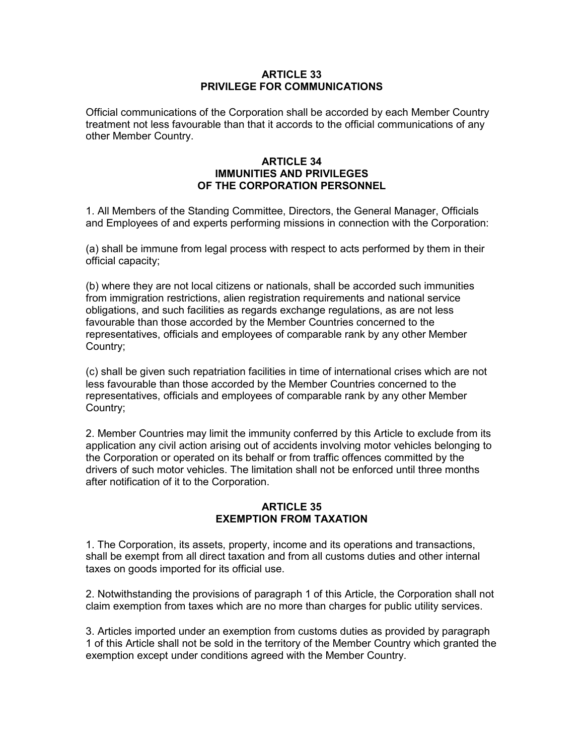## ARTICLE 33 PRIVILEGE FOR COMMUNICATIONS

Official communications of the Corporation shall be accorded by each Member Country treatment not less favourable than that it accords to the official communications of any other Member Country.

## ARTICLE 34 IMMUNITIES AND PRIVILEGES OF THE CORPORATION PERSONNEL

1. All Members of the Standing Committee, Directors, the General Manager, Officials and Employees of and experts performing missions in connection with the Corporation:

(a) shall be immune from legal process with respect to acts performed by them in their official capacity;

(b) where they are not local citizens or nationals, shall be accorded such immunities from immigration restrictions, alien registration requirements and national service obligations, and such facilities as regards exchange regulations, as are not less favourable than those accorded by the Member Countries concerned to the representatives, officials and employees of comparable rank by any other Member Country;

(c) shall be given such repatriation facilities in time of international crises which are not less favourable than those accorded by the Member Countries concerned to the representatives, officials and employees of comparable rank by any other Member Country;

2. Member Countries may limit the immunity conferred by this Article to exclude from its application any civil action arising out of accidents involving motor vehicles belonging to the Corporation or operated on its behalf or from traffic offences committed by the drivers of such motor vehicles. The limitation shall not be enforced until three months after notification of it to the Corporation.

## ARTICLE 35 EXEMPTION FROM TAXATION

1. The Corporation, its assets, property, income and its operations and transactions, shall be exempt from all direct taxation and from all customs duties and other internal taxes on goods imported for its official use.

2. Notwithstanding the provisions of paragraph 1 of this Article, the Corporation shall not claim exemption from taxes which are no more than charges for public utility services.

3. Articles imported under an exemption from customs duties as provided by paragraph 1 of this Article shall not be sold in the territory of the Member Country which granted the exemption except under conditions agreed with the Member Country.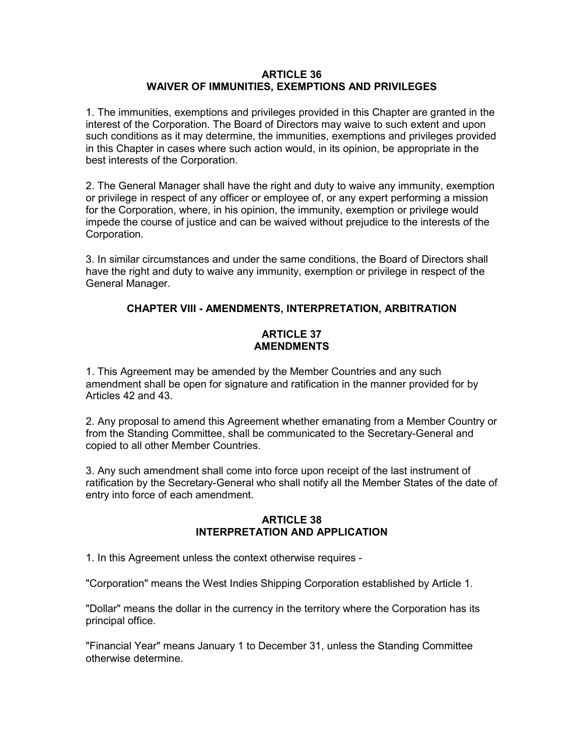### ARTICLE 36 WAIVER OF IMMUNITIES, EXEMPTIONS AND PRIVILEGES

1. The immunities, exemptions and privileges provided in this Chapter are granted in the interest of the Corporation. The Board of Directors may waive to such extent and upon such conditions as it may determine, the immunities, exemptions and privileges provided in this Chapter in cases where such action would, in its opinion, be appropriate in the best interests of the Corporation.

2. The General Manager shall have the right and duty to waive any immunity, exemption or privilege in respect of any officer or employee of, or any expert performing a mission for the Corporation, where, in his opinion, the immunity, exemption or privilege would impede the course of justice and can be waived without prejudice to the interests of the Corporation.

3. In similar circumstances and under the same conditions, the Board of Directors shall have the right and duty to waive any immunity, exemption or privilege in respect of the General Manager.

# CHAPTER VIII - AMENDMENTS, INTERPRETATION, ARBITRATION

## ARTICLE 37 **AMENDMENTS**

1. This Agreement may be amended by the Member Countries and any such amendment shall be open for signature and ratification in the manner provided for by Articles 42 and 43.

2. Any proposal to amend this Agreement whether emanating from a Member Country or from the Standing Committee, shall be communicated to the Secretary-General and copied to all other Member Countries.

3. Any such amendment shall come into force upon receipt of the last instrument of ratification by the Secretary-General who shall notify all the Member States of the date of entry into force of each amendment.

## ARTICLE 38 INTERPRETATION AND APPLICATION

1. In this Agreement unless the context otherwise requires -

"Corporation" means the West Indies Shipping Corporation established by Article 1.

"Dollar" means the dollar in the currency in the territory where the Corporation has its principal office.

"Financial Year" means January 1 to December 31, unless the Standing Committee otherwise determine.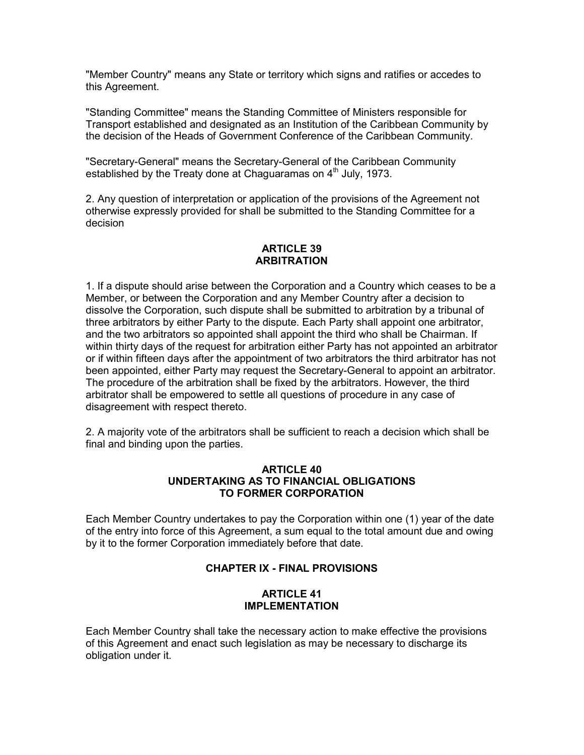"Member Country" means any State or territory which signs and ratifies or accedes to this Agreement.

"Standing Committee" means the Standing Committee of Ministers responsible for Transport established and designated as an Institution of the Caribbean Community by the decision of the Heads of Government Conference of the Caribbean Community.

"Secretary-General" means the Secretary-General of the Caribbean Community established by the Treaty done at Chaguaramas on  $4<sup>th</sup>$  July, 1973.

2. Any question of interpretation or application of the provisions of the Agreement not otherwise expressly provided for shall be submitted to the Standing Committee for a decision

## ARTICLE 39 ARBITRATION

1. If a dispute should arise between the Corporation and a Country which ceases to be a Member, or between the Corporation and any Member Country after a decision to dissolve the Corporation, such dispute shall be submitted to arbitration by a tribunal of three arbitrators by either Party to the dispute. Each Party shall appoint one arbitrator, and the two arbitrators so appointed shall appoint the third who shall be Chairman. If within thirty days of the request for arbitration either Party has not appointed an arbitrator or if within fifteen days after the appointment of two arbitrators the third arbitrator has not been appointed, either Party may request the Secretary-General to appoint an arbitrator. The procedure of the arbitration shall be fixed by the arbitrators. However, the third arbitrator shall be empowered to settle all questions of procedure in any case of disagreement with respect thereto.

2. A majority vote of the arbitrators shall be sufficient to reach a decision which shall be final and binding upon the parties.

## ARTICLE 40 UNDERTAKING AS TO FINANCIAL OBLIGATIONS TO FORMER CORPORATION

Each Member Country undertakes to pay the Corporation within one (1) year of the date of the entry into force of this Agreement, a sum equal to the total amount due and owing by it to the former Corporation immediately before that date.

# CHAPTER IX - FINAL PROVISIONS

#### ARTICLE 41 IMPLEMENTATION

Each Member Country shall take the necessary action to make effective the provisions of this Agreement and enact such legislation as may be necessary to discharge its obligation under it.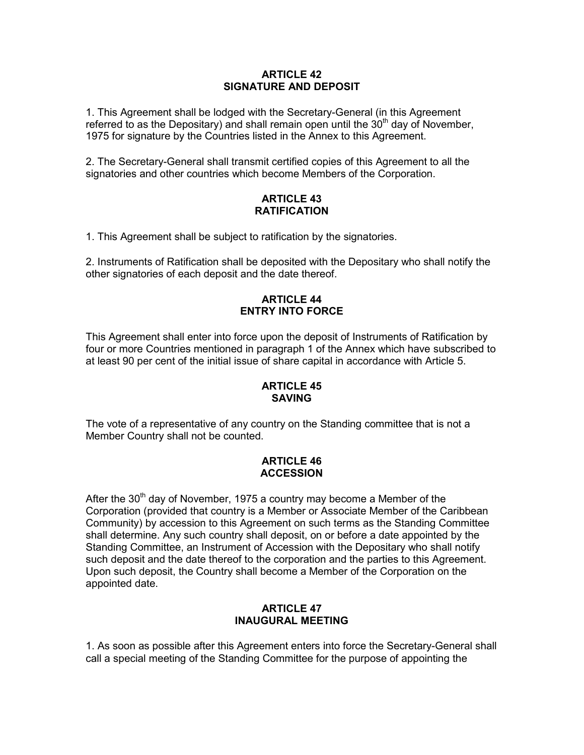## ARTICLE 42 SIGNATURE AND DEPOSIT

1. This Agreement shall be lodged with the Secretary-General (in this Agreement referred to as the Depositary) and shall remain open until the  $30<sup>th</sup>$  day of November, 1975 for signature by the Countries listed in the Annex to this Agreement.

2. The Secretary-General shall transmit certified copies of this Agreement to all the signatories and other countries which become Members of the Corporation.

## ARTICLE 43 **RATIFICATION**

1. This Agreement shall be subject to ratification by the signatories.

2. Instruments of Ratification shall be deposited with the Depositary who shall notify the other signatories of each deposit and the date thereof.

# ARTICLE 44 ENTRY INTO FORCE

This Agreement shall enter into force upon the deposit of Instruments of Ratification by four or more Countries mentioned in paragraph 1 of the Annex which have subscribed to at least 90 per cent of the initial issue of share capital in accordance with Article 5.

## ARTICLE 45 SAVING

The vote of a representative of any country on the Standing committee that is not a Member Country shall not be counted.

## ARTICLE 46 ACCESSION

After the 30<sup>th</sup> day of November, 1975 a country may become a Member of the Corporation (provided that country is a Member or Associate Member of the Caribbean Community) by accession to this Agreement on such terms as the Standing Committee shall determine. Any such country shall deposit, on or before a date appointed by the Standing Committee, an Instrument of Accession with the Depositary who shall notify such deposit and the date thereof to the corporation and the parties to this Agreement. Upon such deposit, the Country shall become a Member of the Corporation on the appointed date.

## ARTICLE 47 INAUGURAL MEETING

1. As soon as possible after this Agreement enters into force the Secretary-General shall call a special meeting of the Standing Committee for the purpose of appointing the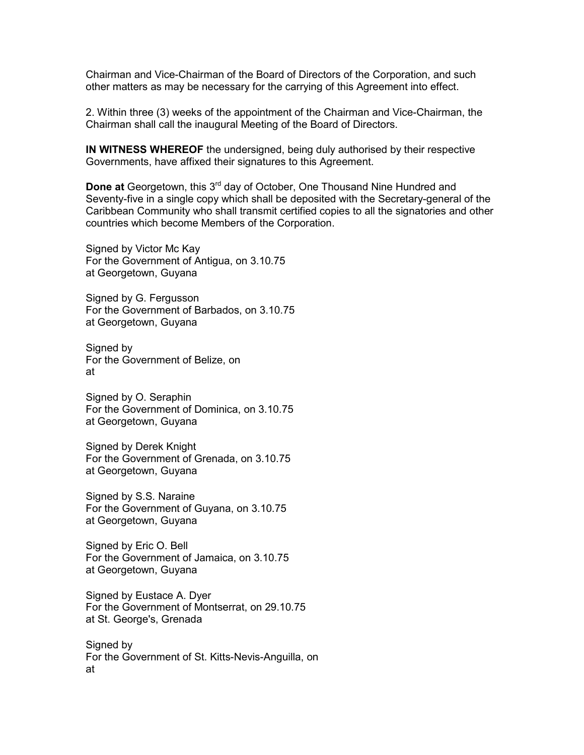Chairman and Vice-Chairman of the Board of Directors of the Corporation, and such other matters as may be necessary for the carrying of this Agreement into effect.

2. Within three (3) weeks of the appointment of the Chairman and Vice-Chairman, the Chairman shall call the inaugural Meeting of the Board of Directors.

IN WITNESS WHEREOF the undersigned, being duly authorised by their respective Governments, have affixed their signatures to this Agreement.

Done at Georgetown, this 3<sup>rd</sup> day of October, One Thousand Nine Hundred and Seventy-five in a single copy which shall be deposited with the Secretary-general of the Caribbean Community who shall transmit certified copies to all the signatories and other countries which become Members of the Corporation.

Signed by Victor Mc Kay For the Government of Antigua, on 3.10.75 at Georgetown, Guyana

Signed by G. Fergusson For the Government of Barbados, on 3.10.75 at Georgetown, Guyana

Signed by For the Government of Belize, on at

Signed by O. Seraphin For the Government of Dominica, on 3.10.75 at Georgetown, Guyana

Signed by Derek Knight For the Government of Grenada, on 3.10.75 at Georgetown, Guyana

Signed by S.S. Naraine For the Government of Guyana, on 3.10.75 at Georgetown, Guyana

Signed by Eric O. Bell For the Government of Jamaica, on 3.10.75 at Georgetown, Guyana

Signed by Eustace A. Dyer For the Government of Montserrat, on 29.10.75 at St. George's, Grenada

Signed by For the Government of St. Kitts-Nevis-Anguilla, on at